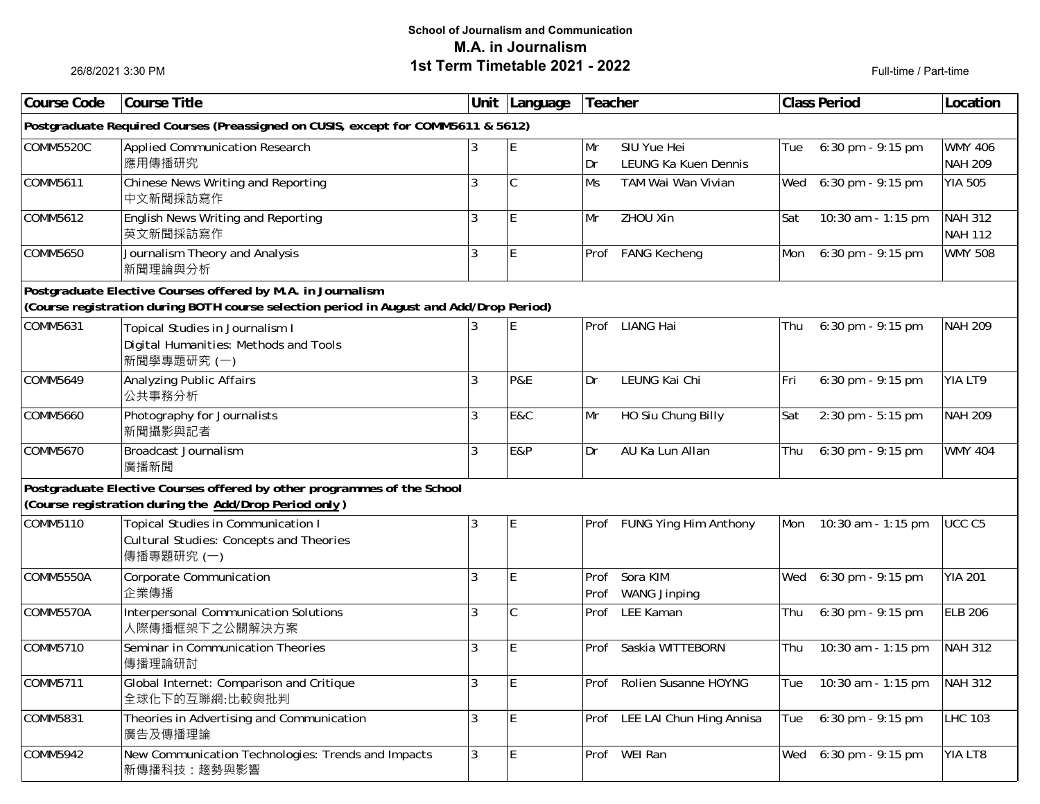## **School of Journalism and Communication M.A. in Journalism 1st Term Timetable 2021 - 2022**

26/8/2021 3:30 PM

Full-time / Part-time

| Course Code      | <b>Course Title</b>                                                                                                              |   | Unit Language  | Teacher      |                                     |     | <b>Class Period</b>  | Location                         |
|------------------|----------------------------------------------------------------------------------------------------------------------------------|---|----------------|--------------|-------------------------------------|-----|----------------------|----------------------------------|
|                  | Postgraduate Required Courses (Preassigned on CUSIS, except for COMM5611 & 5612)                                                 |   |                |              |                                     |     |                      |                                  |
| <b>COMM5520C</b> | Applied Communication Research<br>應用傳播研究                                                                                         |   | Е              | Mr<br>Dr     | SIU Yue Hei<br>LEUNG Ka Kuen Dennis | Tue | 6:30 pm - 9:15 pm    | <b>WMY 406</b><br><b>NAH 209</b> |
| COMM5611         | Chinese News Writing and Reporting<br>中文新聞採訪寫作                                                                                   | 3 | $\mathcal{C}$  | Ms           | TAM Wai Wan Vivian                  | Wed | 6:30 pm - 9:15 pm    | <b>YIA 505</b>                   |
| COMM5612         | English News Writing and Reporting<br>英文新聞採訪寫作                                                                                   | 3 | E              | Mr           | ZHOU Xin                            | Sat | 10:30 am - 1:15 pm   | <b>NAH 312</b><br><b>NAH 112</b> |
| COMM5650         | Journalism Theory and Analysis<br>新聞理論與分析                                                                                        | 3 | E              | Prof         | <b>FANG Kecheng</b>                 | Mon | 6:30 pm - 9:15 pm    | <b>WMY 508</b>                   |
|                  | Postgraduate Elective Courses offered by M.A. in Journalism                                                                      |   |                |              |                                     |     |                      |                                  |
|                  | (Course registration during BOTH course selection period in August and Add/Drop Period)                                          |   |                |              |                                     |     |                      |                                  |
| COMM5631         | Topical Studies in Journalism I<br>Digital Humanities: Methods and Tools<br>新聞學專題研究 (一)                                          |   | E              | Prof         | <b>LIANG Hai</b>                    | Thu | 6:30 pm - 9:15 pm    | <b>NAH 209</b>                   |
| <b>COMM5649</b>  | <b>Analyzing Public Affairs</b><br>公共事務分析                                                                                        | 3 | <b>P&amp;E</b> | Dr           | LEUNG Kai Chi                       | Fri | 6:30 pm - 9:15 pm    | YIA LT9                          |
| <b>COMM5660</b>  | Photography for Journalists<br>新聞攝影與記者                                                                                           | 3 | E&C            | Mr           | HO Siu Chung Billy                  | Sat | 2:30 pm - 5:15 pm    | <b>NAH 209</b>                   |
| COMM5670         | <b>Broadcast Journalism</b><br>廣播新聞                                                                                              | 3 | E&P            | Dr           | AU Ka Lun Allan                     | Thu | 6:30 pm - 9:15 pm    | <b>WMY 404</b>                   |
|                  | Postgraduate Elective Courses offered by other programmes of the School<br>(Course registration during the Add/Drop Period only) |   |                |              |                                     |     |                      |                                  |
| COMM5110         | <b>Topical Studies in Communication I</b><br><b>Cultural Studies: Concepts and Theories</b><br>傳播專題研究 (一)                        | 3 | E              |              | Prof FUNG Ying Him Anthony          | Mon | 10:30 am - 1:15 pm   | UCC <sub>C5</sub>                |
| <b>COMM5550A</b> | Corporate Communication<br>企業傳播                                                                                                  | 3 | E              | Prof<br>Prof | Sora KIM<br><b>WANG Jinping</b>     | Wed | 6:30 pm - 9:15 pm    | <b>YIA 201</b>                   |
| <b>COMM5570A</b> | Interpersonal Communication Solutions<br>人際傳播框架下之公關解決方案                                                                          | 3 | $\mathsf{C}$   | Prof         | <b>LEE Kaman</b>                    | Thu | 6:30 pm - 9:15 pm    | <b>ELB 206</b>                   |
| COMM5710         | Seminar in Communication Theories<br>傳播理論研討                                                                                      | 3 | E              | Prof         | Saskia WITTEBORN                    | Thu | 10:30 am - 1:15 pm   | <b>NAH 312</b>                   |
| <b>COMM5711</b>  | Global Internet: Comparison and Critique<br>全球化下的互聯網:比較與批判                                                                       | 3 | IE.            |              | Prof Rolien Susanne HOYNG           | Tue | $10:30$ am - 1:15 pm | <b>NAH 312</b>                   |
| <b>COMM5831</b>  | Theories in Advertising and Communication<br>廣告及傳播理論                                                                             | 3 | E.             |              | Prof LEE LAI Chun Hing Annisa       | Tue | 6:30 pm - 9:15 pm    | <b>LHC 103</b>                   |
| COMM5942         | New Communication Technologies: Trends and Impacts<br>新傳播科技:趨勢與影響                                                                | 3 | $\mathsf E$    |              | Prof WEI Ran                        | Wed | 6:30 pm - 9:15 pm    | YIA LT8                          |